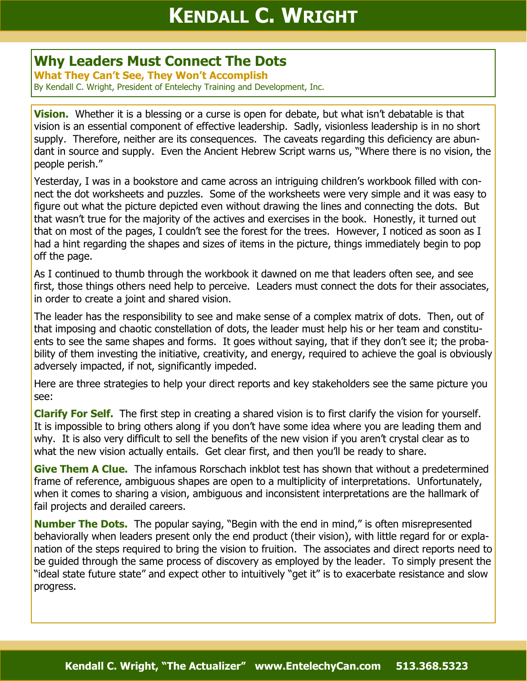## **Why Leaders Must Connect The Dots**

**What They Can't See, They Won't Accomplish** By Kendall C. Wright, President of Entelechy Training and Development, Inc.

**Vision.** Whether it is a blessing or a curse is open for debate, but what isn't debatable is that vision is an essential component of effective leadership. Sadly, visionless leadership is in no short supply. Therefore, neither are its consequences. The caveats regarding this deficiency are abundant in source and supply. Even the Ancient Hebrew Script warns us, "Where there is no vision, the people perish."

Yesterday, I was in a bookstore and came across an intriguing children's workbook filled with connect the dot worksheets and puzzles. Some of the worksheets were very simple and it was easy to figure out what the picture depicted even without drawing the lines and connecting the dots. But that wasn't true for the majority of the actives and exercises in the book. Honestly, it turned out that on most of the pages, I couldn't see the forest for the trees. However, I noticed as soon as I had a hint regarding the shapes and sizes of items in the picture, things immediately begin to pop off the page.

As I continued to thumb through the workbook it dawned on me that leaders often see, and see first, those things others need help to perceive. Leaders must connect the dots for their associates, in order to create a joint and shared vision.

The leader has the responsibility to see and make sense of a complex matrix of dots. Then, out of that imposing and chaotic constellation of dots, the leader must help his or her team and constituents to see the same shapes and forms. It goes without saying, that if they don't see it; the probability of them investing the initiative, creativity, and energy, required to achieve the goal is obviously adversely impacted, if not, significantly impeded.

Here are three strategies to help your direct reports and key stakeholders see the same picture you see:

**Clarify For Self.** The first step in creating a shared vision is to first clarify the vision for yourself. It is impossible to bring others along if you don't have some idea where you are leading them and why. It is also very difficult to sell the benefits of the new vision if you aren't crystal clear as to what the new vision actually entails. Get clear first, and then you'll be ready to share.

**Give Them A Clue.** The infamous Rorschach inkblot test has shown that without a predetermined frame of reference, ambiguous shapes are open to a multiplicity of interpretations. Unfortunately, when it comes to sharing a vision, ambiguous and inconsistent interpretations are the hallmark of fail projects and derailed careers.

**Number The Dots.** The popular saying, "Begin with the end in mind," is often misrepresented behaviorally when leaders present only the end product (their vision), with little regard for or explanation of the steps required to bring the vision to fruition. The associates and direct reports need to be guided through the same process of discovery as employed by the leader. To simply present the "ideal state future state" and expect other to intuitively "get it" is to exacerbate resistance and slow progress.